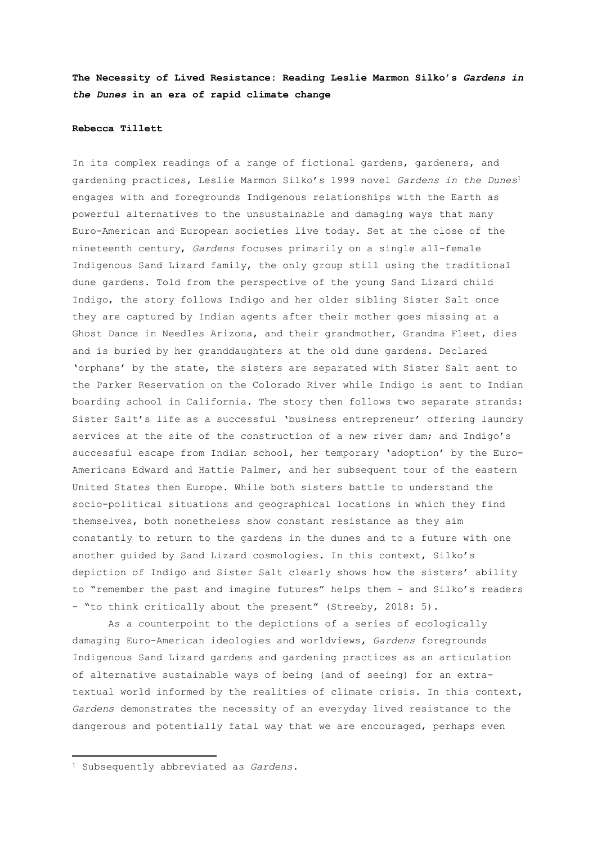**The Necessity of Lived Resistance: Reading Leslie Marmon Silko's** *Gardens in the Dunes* **in an era of rapid climate change**

# **Rebecca Tillett**

In its complex readings of a range of fictional gardens, gardeners, and gardening practices, Leslie Marmon Silko's 1999 novel *Gardens in the Dunes*<sup>1</sup> engages with and foregrounds Indigenous relationships with the Earth as powerful alternatives to the unsustainable and damaging ways that many Euro-American and European societies live today. Set at the close of the nineteenth century, *Gardens* focuses primarily on a single all-female Indigenous Sand Lizard family, the only group still using the traditional dune gardens. Told from the perspective of the young Sand Lizard child Indigo, the story follows Indigo and her older sibling Sister Salt once they are captured by Indian agents after their mother goes missing at a Ghost Dance in Needles Arizona, and their grandmother, Grandma Fleet, dies and is buried by her granddaughters at the old dune gardens. Declared 'orphans' by the state, the sisters are separated with Sister Salt sent to the Parker Reservation on the Colorado River while Indigo is sent to Indian boarding school in California. The story then follows two separate strands: Sister Salt's life as a successful 'business entrepreneur' offering laundry services at the site of the construction of a new river dam; and Indigo's successful escape from Indian school, her temporary 'adoption' by the Euro-Americans Edward and Hattie Palmer, and her subsequent tour of the eastern United States then Europe. While both sisters battle to understand the socio-political situations and geographical locations in which they find themselves, both nonetheless show constant resistance as they aim constantly to return to the gardens in the dunes and to a future with one another guided by Sand Lizard cosmologies. In this context, Silko's depiction of Indigo and Sister Salt clearly shows how the sisters' ability to "remember the past and imagine futures" helps them - and Silko's readers - "to think critically about the present" (Streeby, 2018: 5).

As a counterpoint to the depictions of a series of ecologically damaging Euro-American ideologies and worldviews, *Gardens* foregrounds Indigenous Sand Lizard gardens and gardening practices as an articulation of alternative sustainable ways of being (and of seeing) for an extratextual world informed by the realities of climate crisis. In this context, *Gardens* demonstrates the necessity of an everyday lived resistance to the dangerous and potentially fatal way that we are encouraged, perhaps even

1

<sup>1</sup> Subsequently abbreviated as *Gardens*.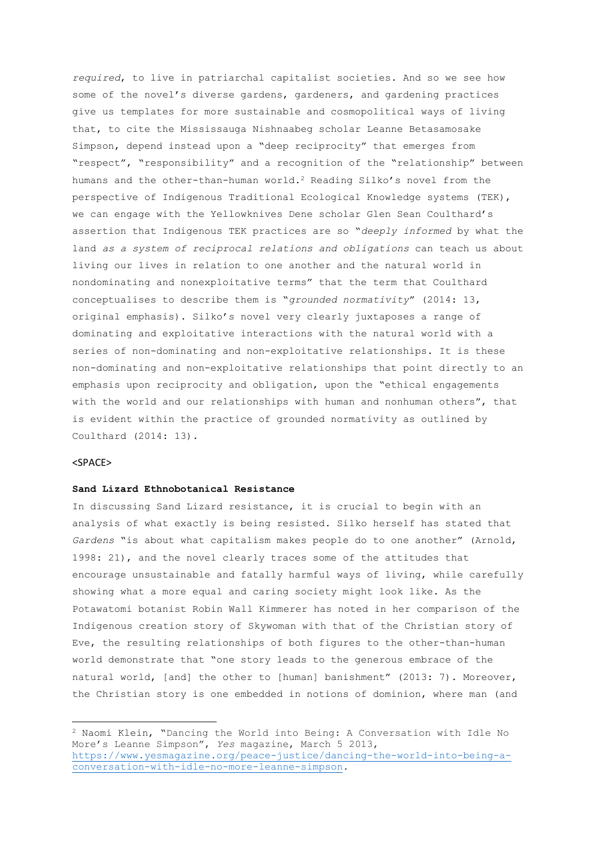*required*, to live in patriarchal capitalist societies. And so we see how some of the novel's diverse gardens, gardeners, and gardening practices give us templates for more sustainable and cosmopolitical ways of living that, to cite the Mississauga Nishnaabeg scholar Leanne Betasamosake Simpson, depend instead upon a "deep reciprocity" that emerges from "respect", "responsibility" and a recognition of the "relationship" between humans and the other-than-human world.<sup>2</sup> Reading Silko's novel from the perspective of Indigenous Traditional Ecological Knowledge systems (TEK), we can engage with the Yellowknives Dene scholar Glen Sean Coulthard's assertion that Indigenous TEK practices are so "*deeply informed* by what the land *as a system of reciprocal relations and obligations* can teach us about living our lives in relation to one another and the natural world in nondominating and nonexploitative terms" that the term that Coulthard conceptualises to describe them is "*grounded normativity*" (2014: 13, original emphasis). Silko's novel very clearly juxtaposes a range of dominating and exploitative interactions with the natural world with a series of non-dominating and non-exploitative relationships. It is these non-dominating and non-exploitative relationships that point directly to an emphasis upon reciprocity and obligation, upon the "ethical engagements with the world and our relationships with human and nonhuman others", that is evident within the practice of grounded normativity as outlined by Coulthard (2014: 13).

# <SPACE>

1

# **Sand Lizard Ethnobotanical Resistance**

In discussing Sand Lizard resistance, it is crucial to begin with an analysis of what exactly is being resisted. Silko herself has stated that *Gardens* "is about what capitalism makes people do to one another" (Arnold, 1998: 21), and the novel clearly traces some of the attitudes that encourage unsustainable and fatally harmful ways of living, while carefully showing what a more equal and caring society might look like. As the Potawatomi botanist Robin Wall Kimmerer has noted in her comparison of the Indigenous creation story of Skywoman with that of the Christian story of Eve, the resulting relationships of both figures to the other-than-human world demonstrate that "one story leads to the generous embrace of the natural world, [and] the other to [human] banishment" (2013: 7). Moreover, the Christian story is one embedded in notions of dominion, where man (and

<sup>2</sup> Naomi Klein, "Dancing the World into Being: A Conversation with Idle No More's Leanne Simpson", *Yes* magazine, March 5 2013, [https://www.yesmagazine.org/peace-justice/dancing-the-world-into-being-a](https://www.yesmagazine.org/peace-justice/dancing-the-world-into-being-a-conversation-with-idle-no-more-leanne-simpson)[conversation-with-idle-no-more-leanne-simpson.](https://www.yesmagazine.org/peace-justice/dancing-the-world-into-being-a-conversation-with-idle-no-more-leanne-simpson)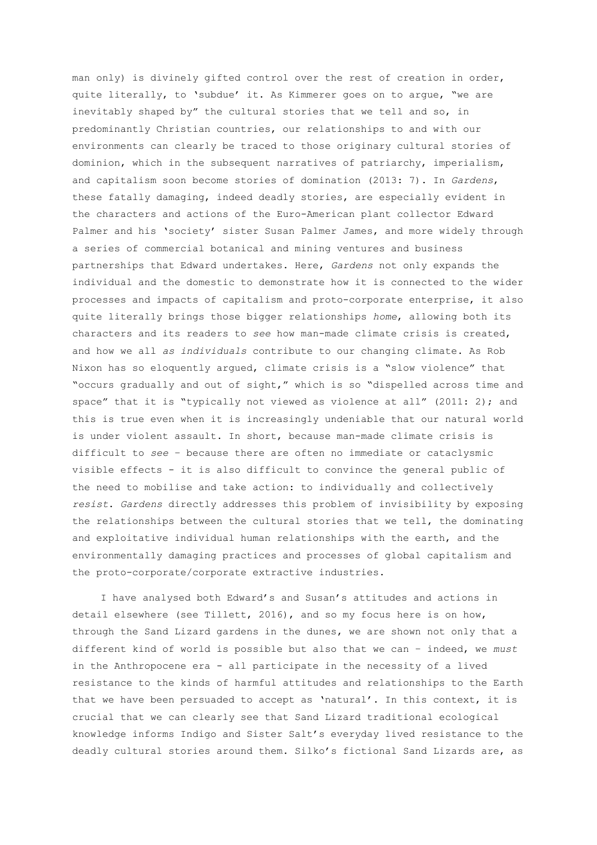man only) is divinely gifted control over the rest of creation in order, quite literally, to 'subdue' it. As Kimmerer goes on to argue, "we are inevitably shaped by" the cultural stories that we tell and so, in predominantly Christian countries, our relationships to and with our environments can clearly be traced to those originary cultural stories of dominion, which in the subsequent narratives of patriarchy, imperialism, and capitalism soon become stories of domination (2013: 7). In *Gardens*, these fatally damaging, indeed deadly stories, are especially evident in the characters and actions of the Euro-American plant collector Edward Palmer and his 'society' sister Susan Palmer James, and more widely through a series of commercial botanical and mining ventures and business partnerships that Edward undertakes. Here, *Gardens* not only expands the individual and the domestic to demonstrate how it is connected to the wider processes and impacts of capitalism and proto-corporate enterprise, it also quite literally brings those bigger relationships *home*, allowing both its characters and its readers to *see* how man-made climate crisis is created, and how we all *as individuals* contribute to our changing climate. As Rob Nixon has so eloquently argued, climate crisis is a "slow violence" that "occurs gradually and out of sight," which is so "dispelled across time and space" that it is "typically not viewed as violence at all" (2011: 2); and this is true even when it is increasingly undeniable that our natural world is under violent assault. In short, because man-made climate crisis is difficult to *see* – because there are often no immediate or cataclysmic visible effects - it is also difficult to convince the general public of the need to mobilise and take action: to individually and collectively *resist*. *Gardens* directly addresses this problem of invisibility by exposing the relationships between the cultural stories that we tell, the dominating and exploitative individual human relationships with the earth, and the environmentally damaging practices and processes of global capitalism and the proto-corporate/corporate extractive industries.

I have analysed both Edward's and Susan's attitudes and actions in detail elsewhere (see Tillett, 2016), and so my focus here is on how, through the Sand Lizard gardens in the dunes, we are shown not only that a different kind of world is possible but also that we can – indeed, we *must* in the Anthropocene era - all participate in the necessity of a lived resistance to the kinds of harmful attitudes and relationships to the Earth that we have been persuaded to accept as 'natural'. In this context, it is crucial that we can clearly see that Sand Lizard traditional ecological knowledge informs Indigo and Sister Salt's everyday lived resistance to the deadly cultural stories around them. Silko's fictional Sand Lizards are, as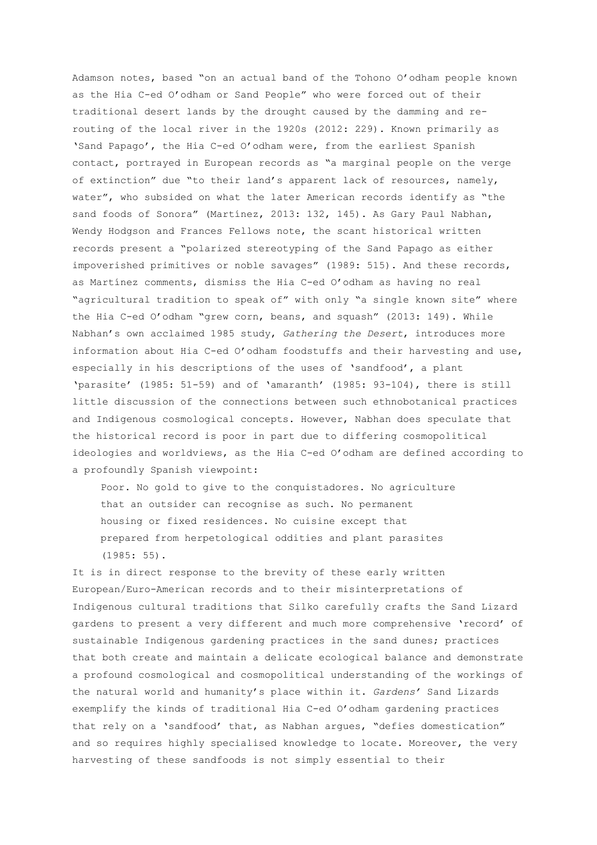Adamson notes, based "on an actual band of the Tohono O'odham people known as the Hia C-ed O'odham or Sand People" who were forced out of their traditional desert lands by the drought caused by the damming and rerouting of the local river in the 1920s (2012: 229). Known primarily as 'Sand Papago', the Hia C-ed O'odham were, from the earliest Spanish contact, portrayed in European records as "a marginal people on the verge of extinction" due "to their land's apparent lack of resources, namely, water", who subsided on what the later American records identify as "the sand foods of Sonora" (Martínez, 2013: 132, 145). As Gary Paul Nabhan, Wendy Hodgson and Frances Fellows note, the scant historical written records present a "polarized stereotyping of the Sand Papago as either impoverished primitives or noble savages" (1989: 515). And these records, as Martínez comments, dismiss the Hia C-ed O'odham as having no real "agricultural tradition to speak of" with only "a single known site" where the Hia C-ed O'odham "grew corn, beans, and squash" (2013: 149). While Nabhan's own acclaimed 1985 study, *Gathering the Desert*, introduces more information about Hia C-ed O'odham foodstuffs and their harvesting and use, especially in his descriptions of the uses of 'sandfood', a plant 'parasite' (1985: 51-59) and of 'amaranth' (1985: 93-104), there is still little discussion of the connections between such ethnobotanical practices and Indigenous cosmological concepts. However, Nabhan does speculate that the historical record is poor in part due to differing cosmopolitical ideologies and worldviews, as the Hia C-ed O'odham are defined according to a profoundly Spanish viewpoint:

Poor. No gold to give to the conquistadores. No agriculture that an outsider can recognise as such. No permanent housing or fixed residences. No cuisine except that prepared from herpetological oddities and plant parasites (1985: 55).

It is in direct response to the brevity of these early written European/Euro-American records and to their misinterpretations of Indigenous cultural traditions that Silko carefully crafts the Sand Lizard gardens to present a very different and much more comprehensive 'record' of sustainable Indigenous gardening practices in the sand dunes; practices that both create and maintain a delicate ecological balance and demonstrate a profound cosmological and cosmopolitical understanding of the workings of the natural world and humanity's place within it. *Gardens'* Sand Lizards exemplify the kinds of traditional Hia C-ed O'odham gardening practices that rely on a 'sandfood' that, as Nabhan argues, "defies domestication" and so requires highly specialised knowledge to locate. Moreover, the very harvesting of these sandfoods is not simply essential to their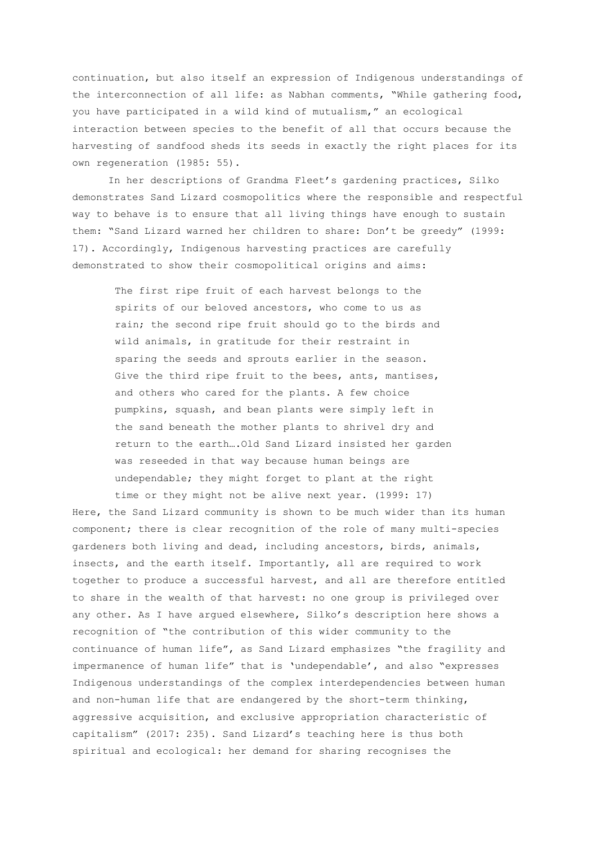continuation, but also itself an expression of Indigenous understandings of the interconnection of all life: as Nabhan comments, "While gathering food, you have participated in a wild kind of mutualism," an ecological interaction between species to the benefit of all that occurs because the harvesting of sandfood sheds its seeds in exactly the right places for its own regeneration (1985: 55).

In her descriptions of Grandma Fleet's gardening practices, Silko demonstrates Sand Lizard cosmopolitics where the responsible and respectful way to behave is to ensure that all living things have enough to sustain them: "Sand Lizard warned her children to share: Don't be greedy" (1999: 17). Accordingly, Indigenous harvesting practices are carefully demonstrated to show their cosmopolitical origins and aims:

The first ripe fruit of each harvest belongs to the spirits of our beloved ancestors, who come to us as rain; the second ripe fruit should go to the birds and wild animals, in gratitude for their restraint in sparing the seeds and sprouts earlier in the season. Give the third ripe fruit to the bees, ants, mantises, and others who cared for the plants. A few choice pumpkins, squash, and bean plants were simply left in the sand beneath the mother plants to shrivel dry and return to the earth….Old Sand Lizard insisted her garden was reseeded in that way because human beings are undependable; they might forget to plant at the right time or they might not be alive next year. (1999: 17)

Here, the Sand Lizard community is shown to be much wider than its human component; there is clear recognition of the role of many multi-species gardeners both living and dead, including ancestors, birds, animals, insects, and the earth itself. Importantly, all are required to work together to produce a successful harvest, and all are therefore entitled to share in the wealth of that harvest: no one group is privileged over any other. As I have argued elsewhere, Silko's description here shows a recognition of "the contribution of this wider community to the continuance of human life", as Sand Lizard emphasizes "the fragility and impermanence of human life" that is 'undependable', and also "expresses Indigenous understandings of the complex interdependencies between human and non-human life that are endangered by the short-term thinking, aggressive acquisition, and exclusive appropriation characteristic of capitalism" (2017: 235). Sand Lizard's teaching here is thus both spiritual and ecological: her demand for sharing recognises the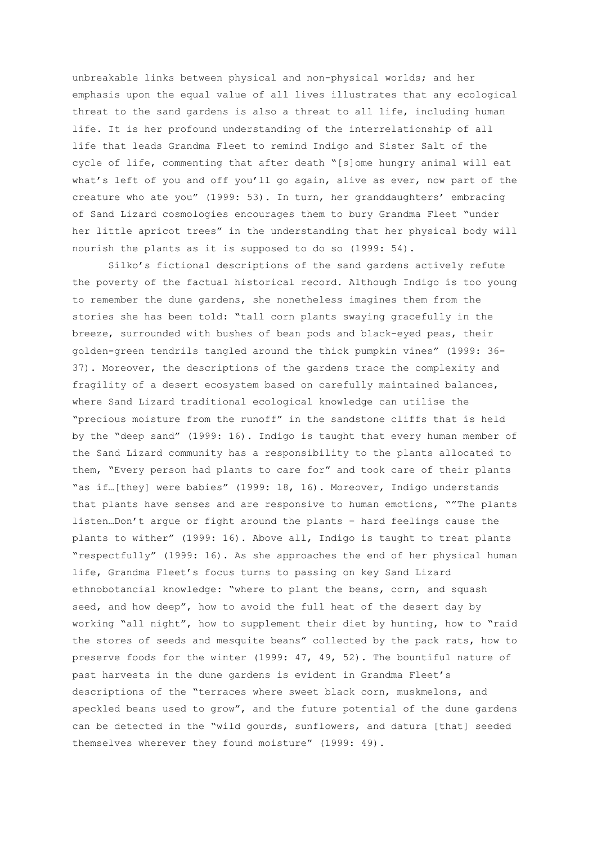unbreakable links between physical and non-physical worlds; and her emphasis upon the equal value of all lives illustrates that any ecological threat to the sand gardens is also a threat to all life, including human life. It is her profound understanding of the interrelationship of all life that leads Grandma Fleet to remind Indigo and Sister Salt of the cycle of life, commenting that after death "[s]ome hungry animal will eat what's left of you and off you'll go again, alive as ever, now part of the creature who ate you" (1999: 53). In turn, her granddaughters' embracing of Sand Lizard cosmologies encourages them to bury Grandma Fleet "under her little apricot trees" in the understanding that her physical body will nourish the plants as it is supposed to do so (1999: 54).

Silko's fictional descriptions of the sand gardens actively refute the poverty of the factual historical record. Although Indigo is too young to remember the dune gardens, she nonetheless imagines them from the stories she has been told: "tall corn plants swaying gracefully in the breeze, surrounded with bushes of bean pods and black-eyed peas, their golden-green tendrils tangled around the thick pumpkin vines" (1999: 36- 37). Moreover, the descriptions of the gardens trace the complexity and fragility of a desert ecosystem based on carefully maintained balances, where Sand Lizard traditional ecological knowledge can utilise the "precious moisture from the runoff" in the sandstone cliffs that is held by the "deep sand" (1999: 16). Indigo is taught that every human member of the Sand Lizard community has a responsibility to the plants allocated to them, "Every person had plants to care for" and took care of their plants "as if…[they] were babies" (1999: 18, 16). Moreover, Indigo understands that plants have senses and are responsive to human emotions, ""The plants listen…Don't argue or fight around the plants – hard feelings cause the plants to wither" (1999: 16). Above all, Indigo is taught to treat plants "respectfully" (1999: 16). As she approaches the end of her physical human life, Grandma Fleet's focus turns to passing on key Sand Lizard ethnobotancial knowledge: "where to plant the beans, corn, and squash seed, and how deep", how to avoid the full heat of the desert day by working "all night", how to supplement their diet by hunting, how to "raid the stores of seeds and mesquite beans" collected by the pack rats, how to preserve foods for the winter (1999: 47, 49, 52). The bountiful nature of past harvests in the dune gardens is evident in Grandma Fleet's descriptions of the "terraces where sweet black corn, muskmelons, and speckled beans used to grow", and the future potential of the dune gardens can be detected in the "wild gourds, sunflowers, and datura [that] seeded themselves wherever they found moisture" (1999: 49).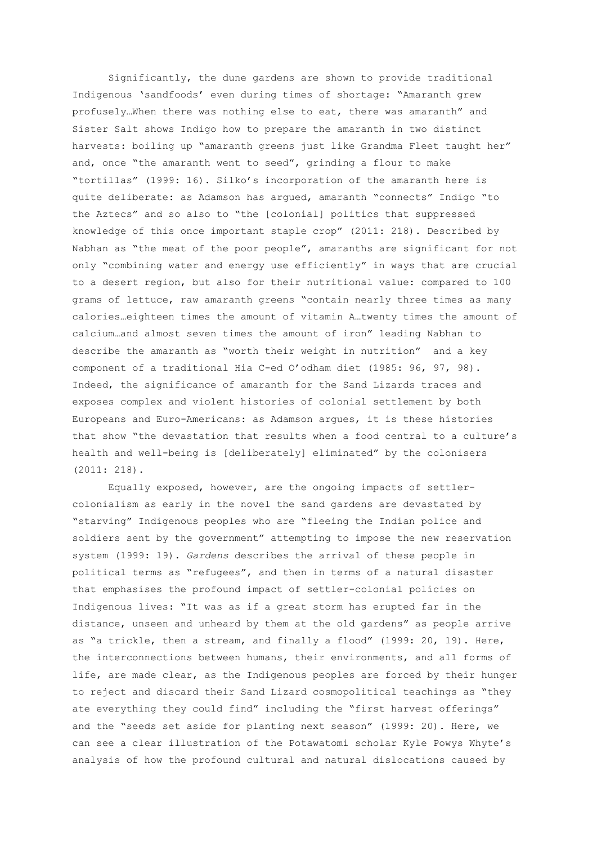Significantly, the dune gardens are shown to provide traditional Indigenous 'sandfoods' even during times of shortage: "Amaranth grew profusely…When there was nothing else to eat, there was amaranth" and Sister Salt shows Indigo how to prepare the amaranth in two distinct harvests: boiling up "amaranth greens just like Grandma Fleet taught her" and, once "the amaranth went to seed", grinding a flour to make "tortillas" (1999: 16). Silko's incorporation of the amaranth here is quite deliberate: as Adamson has argued, amaranth "connects" Indigo "to the Aztecs" and so also to "the [colonial] politics that suppressed knowledge of this once important staple crop" (2011: 218). Described by Nabhan as "the meat of the poor people", amaranths are significant for not only "combining water and energy use efficiently" in ways that are crucial to a desert region, but also for their nutritional value: compared to 100 grams of lettuce, raw amaranth greens "contain nearly three times as many calories…eighteen times the amount of vitamin A…twenty times the amount of calcium…and almost seven times the amount of iron" leading Nabhan to describe the amaranth as "worth their weight in nutrition" and a key component of a traditional Hia C-ed O'odham diet (1985: 96, 97, 98). Indeed, the significance of amaranth for the Sand Lizards traces and exposes complex and violent histories of colonial settlement by both Europeans and Euro-Americans: as Adamson argues, it is these histories that show "the devastation that results when a food central to a culture's health and well-being is [deliberately] eliminated" by the colonisers (2011: 218).

Equally exposed, however, are the ongoing impacts of settlercolonialism as early in the novel the sand gardens are devastated by "starving" Indigenous peoples who are "fleeing the Indian police and soldiers sent by the government" attempting to impose the new reservation system (1999: 19). *Gardens* describes the arrival of these people in political terms as "refugees", and then in terms of a natural disaster that emphasises the profound impact of settler-colonial policies on Indigenous lives: "It was as if a great storm has erupted far in the distance, unseen and unheard by them at the old gardens" as people arrive as "a trickle, then a stream, and finally a flood" (1999: 20, 19). Here, the interconnections between humans, their environments, and all forms of life, are made clear, as the Indigenous peoples are forced by their hunger to reject and discard their Sand Lizard cosmopolitical teachings as "they ate everything they could find" including the "first harvest offerings" and the "seeds set aside for planting next season" (1999: 20). Here, we can see a clear illustration of the Potawatomi scholar Kyle Powys Whyte's analysis of how the profound cultural and natural dislocations caused by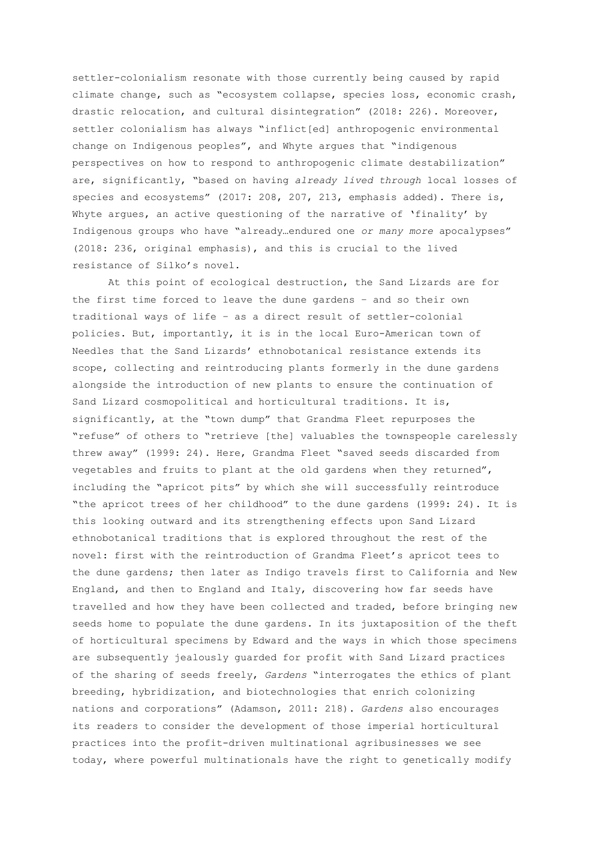settler-colonialism resonate with those currently being caused by rapid climate change, such as "ecosystem collapse, species loss, economic crash, drastic relocation, and cultural disintegration" (2018: 226). Moreover, settler colonialism has always "inflict[ed] anthropogenic environmental change on Indigenous peoples", and Whyte argues that "indigenous perspectives on how to respond to anthropogenic climate destabilization" are, significantly, "based on having *already lived through* local losses of species and ecosystems" (2017: 208, 207, 213, emphasis added). There is, Whyte argues, an active questioning of the narrative of 'finality' by Indigenous groups who have "already…endured one *or many more* apocalypses" (2018: 236, original emphasis), and this is crucial to the lived resistance of Silko's novel.

At this point of ecological destruction, the Sand Lizards are for the first time forced to leave the dune gardens – and so their own traditional ways of life – as a direct result of settler-colonial policies. But, importantly, it is in the local Euro-American town of Needles that the Sand Lizards' ethnobotanical resistance extends its scope, collecting and reintroducing plants formerly in the dune gardens alongside the introduction of new plants to ensure the continuation of Sand Lizard cosmopolitical and horticultural traditions. It is, significantly, at the "town dump" that Grandma Fleet repurposes the "refuse" of others to "retrieve [the] valuables the townspeople carelessly threw away" (1999: 24). Here, Grandma Fleet "saved seeds discarded from vegetables and fruits to plant at the old gardens when they returned", including the "apricot pits" by which she will successfully reintroduce "the apricot trees of her childhood" to the dune gardens (1999: 24). It is this looking outward and its strengthening effects upon Sand Lizard ethnobotanical traditions that is explored throughout the rest of the novel: first with the reintroduction of Grandma Fleet's apricot tees to the dune gardens; then later as Indigo travels first to California and New England, and then to England and Italy, discovering how far seeds have travelled and how they have been collected and traded, before bringing new seeds home to populate the dune gardens. In its juxtaposition of the theft of horticultural specimens by Edward and the ways in which those specimens are subsequently jealously guarded for profit with Sand Lizard practices of the sharing of seeds freely, *Gardens* "interrogates the ethics of plant breeding, hybridization, and biotechnologies that enrich colonizing nations and corporations" (Adamson, 2011: 218). *Gardens* also encourages its readers to consider the development of those imperial horticultural practices into the profit-driven multinational agribusinesses we see today, where powerful multinationals have the right to genetically modify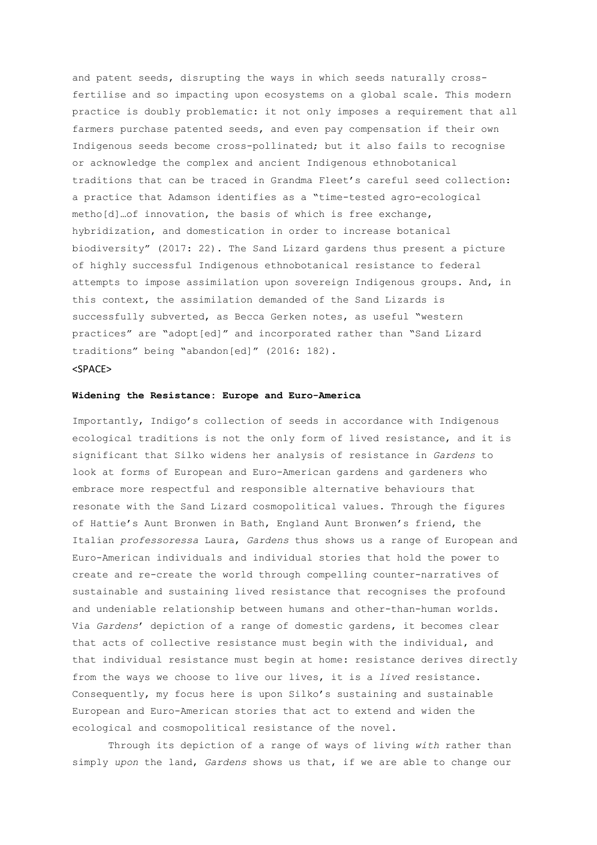and patent seeds, disrupting the ways in which seeds naturally crossfertilise and so impacting upon ecosystems on a global scale. This modern practice is doubly problematic: it not only imposes a requirement that all farmers purchase patented seeds, and even pay compensation if their own Indigenous seeds become cross-pollinated; but it also fails to recognise or acknowledge the complex and ancient Indigenous ethnobotanical traditions that can be traced in Grandma Fleet's careful seed collection: a practice that Adamson identifies as a "time-tested agro-ecological metho[d]…of innovation, the basis of which is free exchange, hybridization, and domestication in order to increase botanical biodiversity" (2017: 22). The Sand Lizard gardens thus present a picture of highly successful Indigenous ethnobotanical resistance to federal attempts to impose assimilation upon sovereign Indigenous groups. And, in this context, the assimilation demanded of the Sand Lizards is successfully subverted, as Becca Gerken notes, as useful "western practices" are "adopt[ed]" and incorporated rather than "Sand Lizard traditions" being "abandon[ed]" (2016: 182). <SPACE>

#### **Widening the Resistance: Europe and Euro-America**

Importantly, Indigo's collection of seeds in accordance with Indigenous ecological traditions is not the only form of lived resistance, and it is significant that Silko widens her analysis of resistance in *Gardens* to look at forms of European and Euro-American gardens and gardeners who embrace more respectful and responsible alternative behaviours that resonate with the Sand Lizard cosmopolitical values. Through the figures of Hattie's Aunt Bronwen in Bath, England Aunt Bronwen's friend, the Italian *professoressa* Laura, *Gardens* thus shows us a range of European and Euro-American individuals and individual stories that hold the power to create and re-create the world through compelling counter-narratives of sustainable and sustaining lived resistance that recognises the profound and undeniable relationship between humans and other-than-human worlds. Via *Gardens*' depiction of a range of domestic gardens, it becomes clear that acts of collective resistance must begin with the individual, and that individual resistance must begin at home: resistance derives directly from the ways we choose to live our lives, it is a *lived* resistance. Consequently, my focus here is upon Silko's sustaining and sustainable European and Euro-American stories that act to extend and widen the ecological and cosmopolitical resistance of the novel.

Through its depiction of a range of ways of living *with* rather than simply *upon* the land, *Gardens* shows us that, if we are able to change our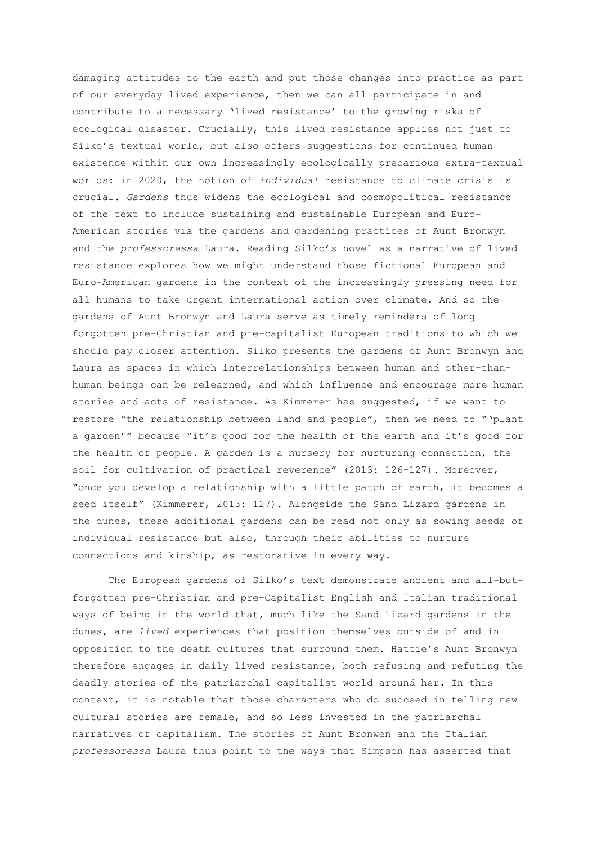damaging attitudes to the earth and put those changes into practice as part of our everyday lived experience, then we can all participate in and contribute to a necessary 'lived resistance' to the growing risks of ecological disaster. Crucially, this lived resistance applies not just to Silko's textual world, but also offers suggestions for continued human existence within our own increasingly ecologically precarious extra-textual worlds: in 2020, the notion of *individual* resistance to climate crisis is crucial. *Gardens* thus widens the ecological and cosmopolitical resistance of the text to include sustaining and sustainable European and Euro-American stories via the gardens and gardening practices of Aunt Bronwyn and the *professoressa* Laura. Reading Silko's novel as a narrative of lived resistance explores how we might understand those fictional European and Euro-American gardens in the context of the increasingly pressing need for all humans to take urgent international action over climate. And so the gardens of Aunt Bronwyn and Laura serve as timely reminders of long forgotten pre-Christian and pre-capitalist European traditions to which we should pay closer attention. Silko presents the gardens of Aunt Bronwyn and Laura as spaces in which interrelationships between human and other-thanhuman beings can be relearned, and which influence and encourage more human stories and acts of resistance. As Kimmerer has suggested, if we want to restore "the relationship between land and people", then we need to "'plant a garden'" because "it's good for the health of the earth and it's good for the health of people. A garden is a nursery for nurturing connection, the soil for cultivation of practical reverence" (2013: 126-127). Moreover, "once you develop a relationship with a little patch of earth, it becomes a seed itself" (Kimmerer, 2013: 127). Alongside the Sand Lizard gardens in the dunes, these additional gardens can be read not only as sowing seeds of individual resistance but also, through their abilities to nurture connections and kinship, as restorative in every way.

The European gardens of Silko's text demonstrate ancient and all-butforgotten pre-Christian and pre-Capitalist English and Italian traditional ways of being in the world that, much like the Sand Lizard gardens in the dunes, are *lived* experiences that position themselves outside of and in opposition to the death cultures that surround them. Hattie's Aunt Bronwyn therefore engages in daily lived resistance, both refusing and refuting the deadly stories of the patriarchal capitalist world around her. In this context, it is notable that those characters who do succeed in telling new cultural stories are female, and so less invested in the patriarchal narratives of capitalism. The stories of Aunt Bronwen and the Italian *professoressa* Laura thus point to the ways that Simpson has asserted that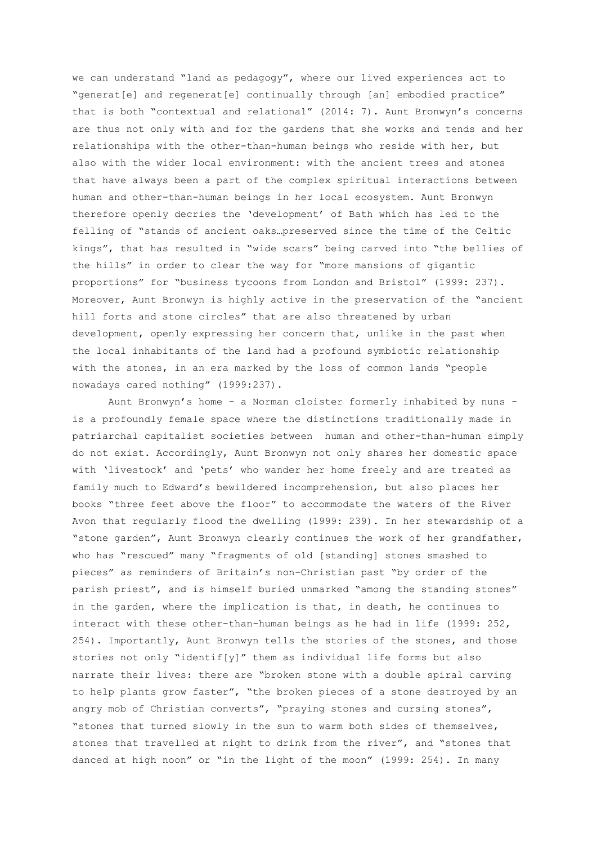we can understand "land as pedagogy", where our lived experiences act to "generat[e] and regenerat[e] continually through [an] embodied practice" that is both "contextual and relational" (2014: 7). Aunt Bronwyn's concerns are thus not only with and for the gardens that she works and tends and her relationships with the other-than-human beings who reside with her, but also with the wider local environment: with the ancient trees and stones that have always been a part of the complex spiritual interactions between human and other-than-human beings in her local ecosystem. Aunt Bronwyn therefore openly decries the 'development' of Bath which has led to the felling of "stands of ancient oaks…preserved since the time of the Celtic kings", that has resulted in "wide scars" being carved into "the bellies of the hills" in order to clear the way for "more mansions of gigantic proportions" for "business tycoons from London and Bristol" (1999: 237). Moreover, Aunt Bronwyn is highly active in the preservation of the "ancient hill forts and stone circles" that are also threatened by urban development, openly expressing her concern that, unlike in the past when the local inhabitants of the land had a profound symbiotic relationship with the stones, in an era marked by the loss of common lands "people nowadays cared nothing" (1999:237).

Aunt Bronwyn's home - a Norman cloister formerly inhabited by nuns is a profoundly female space where the distinctions traditionally made in patriarchal capitalist societies between human and other-than-human simply do not exist. Accordingly, Aunt Bronwyn not only shares her domestic space with 'livestock' and 'pets' who wander her home freely and are treated as family much to Edward's bewildered incomprehension, but also places her books "three feet above the floor" to accommodate the waters of the River Avon that regularly flood the dwelling (1999: 239). In her stewardship of a "stone garden", Aunt Bronwyn clearly continues the work of her grandfather, who has "rescued" many "fragments of old [standing] stones smashed to pieces" as reminders of Britain's non-Christian past "by order of the parish priest", and is himself buried unmarked "among the standing stones" in the garden, where the implication is that, in death, he continues to interact with these other-than-human beings as he had in life (1999: 252, 254). Importantly, Aunt Bronwyn tells the stories of the stones, and those stories not only "identif[y]" them as individual life forms but also narrate their lives: there are "broken stone with a double spiral carving to help plants grow faster", "the broken pieces of a stone destroyed by an angry mob of Christian converts", "praying stones and cursing stones", "stones that turned slowly in the sun to warm both sides of themselves, stones that travelled at night to drink from the river", and "stones that danced at high noon" or "in the light of the moon" (1999: 254). In many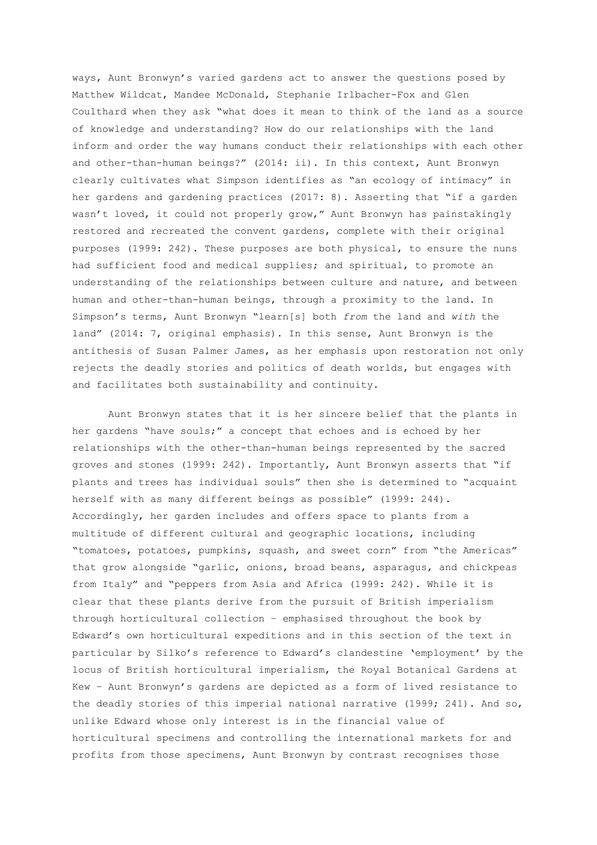ways, Aunt Bronwyn's varied gardens act to answer the questions posed by Matthew Wildcat, Mandee McDonald, Stephanie Irlbacher-Fox and Glen Coulthard when they ask "what does it mean to think of the land as a source of knowledge and understanding? How do our relationships with the land inform and order the way humans conduct their relationships with each other and other-than-human beings?" (2014: ii). In this context, Aunt Bronwyn clearly cultivates what Simpson identifies as "an ecology of intimacy" in her gardens and gardening practices (2017: 8). Asserting that "if a garden wasn't loved, it could not properly grow," Aunt Bronwyn has painstakingly restored and recreated the convent gardens, complete with their original purposes (1999: 242). These purposes are both physical, to ensure the nuns had sufficient food and medical supplies; and spiritual, to promote an understanding of the relationships between culture and nature, and between human and other-than-human beings, through a proximity to the land. In Simpson's terms, Aunt Bronwyn "learn[s] both *from* the land and *with* the land" (2014: 7, original emphasis). In this sense, Aunt Bronwyn is the antithesis of Susan Palmer James, as her emphasis upon restoration not only rejects the deadly stories and politics of death worlds, but engages with and facilitates both sustainability and continuity.

Aunt Bronwyn states that it is her sincere belief that the plants in her gardens "have souls;" a concept that echoes and is echoed by her relationships with the other-than-human beings represented by the sacred groves and stones (1999: 242). Importantly, Aunt Bronwyn asserts that "if plants and trees has individual souls" then she is determined to "acquaint herself with as many different beings as possible" (1999: 244). Accordingly, her garden includes and offers space to plants from a multitude of different cultural and geographic locations, including "tomatoes, potatoes, pumpkins, squash, and sweet corn" from "the Americas" that grow alongside "garlic, onions, broad beans, asparagus, and chickpeas from Italy" and "peppers from Asia and Africa (1999: 242). While it is clear that these plants derive from the pursuit of British imperialism through horticultural collection – emphasised throughout the book by Edward's own horticultural expeditions and in this section of the text in particular by Silko's reference to Edward's clandestine 'employment' by the locus of British horticultural imperialism, the Royal Botanical Gardens at Kew – Aunt Bronwyn's gardens are depicted as a form of lived resistance to the deadly stories of this imperial national narrative (1999; 241). And so, unlike Edward whose only interest is in the financial value of horticultural specimens and controlling the international markets for and profits from those specimens, Aunt Bronwyn by contrast recognises those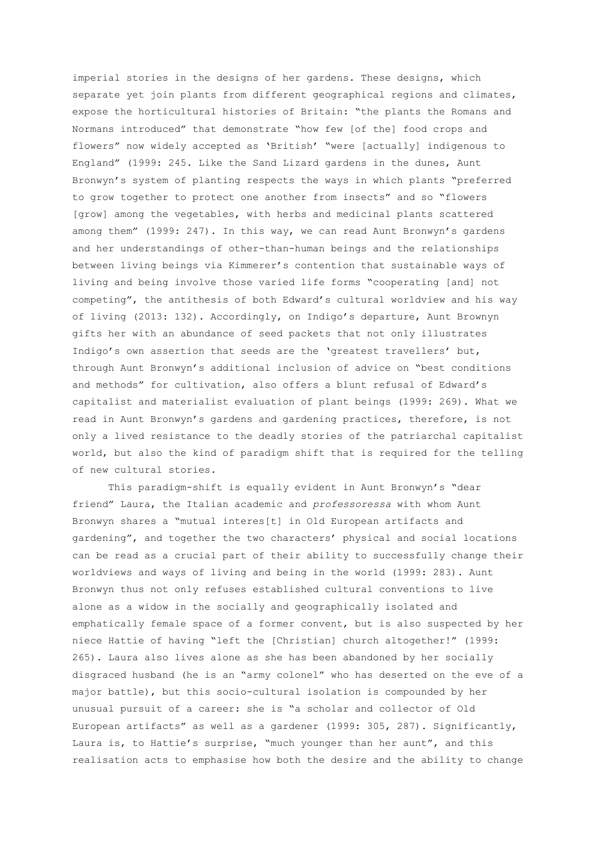imperial stories in the designs of her gardens. These designs, which separate yet join plants from different geographical regions and climates, expose the horticultural histories of Britain: "the plants the Romans and Normans introduced" that demonstrate "how few [of the] food crops and flowers" now widely accepted as 'British' "were [actually] indigenous to England" (1999: 245. Like the Sand Lizard gardens in the dunes, Aunt Bronwyn's system of planting respects the ways in which plants "preferred to grow together to protect one another from insects" and so "flowers [grow] among the vegetables, with herbs and medicinal plants scattered among them" (1999: 247). In this way, we can read Aunt Bronwyn's gardens and her understandings of other-than-human beings and the relationships between living beings via Kimmerer's contention that sustainable ways of living and being involve those varied life forms "cooperating [and] not competing", the antithesis of both Edward's cultural worldview and his way of living (2013: 132). Accordingly, on Indigo's departure, Aunt Brownyn gifts her with an abundance of seed packets that not only illustrates Indigo's own assertion that seeds are the 'greatest travellers' but, through Aunt Bronwyn's additional inclusion of advice on "best conditions and methods" for cultivation, also offers a blunt refusal of Edward's capitalist and materialist evaluation of plant beings (1999: 269). What we read in Aunt Bronwyn's gardens and gardening practices, therefore, is not only a lived resistance to the deadly stories of the patriarchal capitalist world, but also the kind of paradigm shift that is required for the telling of new cultural stories.

This paradigm-shift is equally evident in Aunt Bronwyn's "dear friend" Laura, the Italian academic and *professoressa* with whom Aunt Bronwyn shares a "mutual interes[t] in Old European artifacts and gardening", and together the two characters' physical and social locations can be read as a crucial part of their ability to successfully change their worldviews and ways of living and being in the world (1999: 283)*.* Aunt Bronwyn thus not only refuses established cultural conventions to live alone as a widow in the socially and geographically isolated and emphatically female space of a former convent, but is also suspected by her niece Hattie of having "left the [Christian] church altogether!" (1999: 265). Laura also lives alone as she has been abandoned by her socially disgraced husband (he is an "army colonel" who has deserted on the eve of a major battle), but this socio-cultural isolation is compounded by her unusual pursuit of a career: she is "a scholar and collector of Old European artifacts" as well as a gardener (1999: 305, 287). Significantly, Laura is, to Hattie's surprise, "much younger than her aunt", and this realisation acts to emphasise how both the desire and the ability to change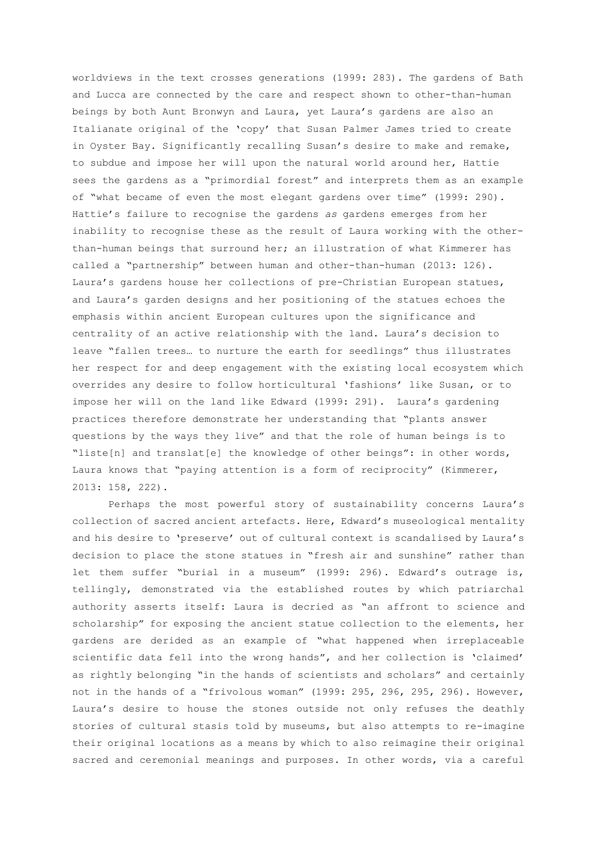worldviews in the text crosses generations (1999: 283). The gardens of Bath and Lucca are connected by the care and respect shown to other-than-human beings by both Aunt Bronwyn and Laura, yet Laura's gardens are also an Italianate original of the 'copy' that Susan Palmer James tried to create in Oyster Bay. Significantly recalling Susan's desire to make and remake, to subdue and impose her will upon the natural world around her, Hattie sees the gardens as a "primordial forest" and interprets them as an example of "what became of even the most elegant gardens over time" (1999: 290). Hattie's failure to recognise the gardens *as* gardens emerges from her inability to recognise these as the result of Laura working with the otherthan-human beings that surround her; an illustration of what Kimmerer has called a "partnership" between human and other-than-human (2013: 126). Laura's gardens house her collections of pre-Christian European statues, and Laura's garden designs and her positioning of the statues echoes the emphasis within ancient European cultures upon the significance and centrality of an active relationship with the land. Laura's decision to leave "fallen trees… to nurture the earth for seedlings" thus illustrates her respect for and deep engagement with the existing local ecosystem which overrides any desire to follow horticultural 'fashions' like Susan, or to impose her will on the land like Edward (1999: 291). Laura's gardening practices therefore demonstrate her understanding that "plants answer questions by the ways they live" and that the role of human beings is to "liste[n] and translat[e] the knowledge of other beings": in other words, Laura knows that "paying attention is a form of reciprocity" (Kimmerer, 2013: 158, 222).

Perhaps the most powerful story of sustainability concerns Laura's collection of sacred ancient artefacts. Here, Edward's museological mentality and his desire to 'preserve' out of cultural context is scandalised by Laura's decision to place the stone statues in "fresh air and sunshine" rather than let them suffer "burial in a museum" (1999: 296). Edward's outrage is, tellingly, demonstrated via the established routes by which patriarchal authority asserts itself: Laura is decried as "an affront to science and scholarship" for exposing the ancient statue collection to the elements, her gardens are derided as an example of "what happened when irreplaceable scientific data fell into the wrong hands", and her collection is 'claimed' as rightly belonging "in the hands of scientists and scholars" and certainly not in the hands of a "frivolous woman" (1999: 295, 296, 295, 296). However, Laura's desire to house the stones outside not only refuses the deathly stories of cultural stasis told by museums, but also attempts to re-imagine their original locations as a means by which to also reimagine their original sacred and ceremonial meanings and purposes. In other words, via a careful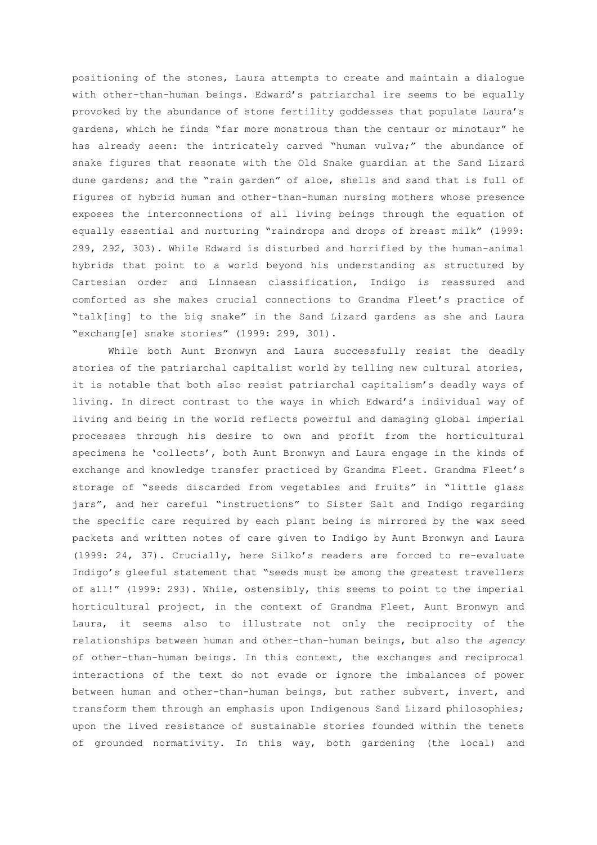positioning of the stones, Laura attempts to create and maintain a dialogue with other-than-human beings. Edward's patriarchal ire seems to be equally provoked by the abundance of stone fertility goddesses that populate Laura's gardens, which he finds "far more monstrous than the centaur or minotaur" he has already seen: the intricately carved "human vulva;" the abundance of snake figures that resonate with the Old Snake guardian at the Sand Lizard dune gardens; and the "rain garden" of aloe, shells and sand that is full of figures of hybrid human and other-than-human nursing mothers whose presence exposes the interconnections of all living beings through the equation of equally essential and nurturing "raindrops and drops of breast milk" (1999: 299, 292, 303). While Edward is disturbed and horrified by the human-animal hybrids that point to a world beyond his understanding as structured by Cartesian order and Linnaean classification, Indigo is reassured and comforted as she makes crucial connections to Grandma Fleet's practice of "talk[ing] to the big snake" in the Sand Lizard gardens as she and Laura "exchang[e] snake stories" (1999: 299, 301).

While both Aunt Bronwyn and Laura successfully resist the deadly stories of the patriarchal capitalist world by telling new cultural stories, it is notable that both also resist patriarchal capitalism's deadly ways of living. In direct contrast to the ways in which Edward's individual way of living and being in the world reflects powerful and damaging global imperial processes through his desire to own and profit from the horticultural specimens he 'collects', both Aunt Bronwyn and Laura engage in the kinds of exchange and knowledge transfer practiced by Grandma Fleet. Grandma Fleet's storage of "seeds discarded from vegetables and fruits" in "little glass jars", and her careful "instructions" to Sister Salt and Indigo regarding the specific care required by each plant being is mirrored by the wax seed packets and written notes of care given to Indigo by Aunt Bronwyn and Laura (1999: 24, 37). Crucially, here Silko's readers are forced to re-evaluate Indigo's gleeful statement that "seeds must be among the greatest travellers of all!" (1999: 293). While, ostensibly, this seems to point to the imperial horticultural project, in the context of Grandma Fleet, Aunt Bronwyn and Laura, it seems also to illustrate not only the reciprocity of the relationships between human and other-than-human beings, but also the *agency* of other-than-human beings. In this context, the exchanges and reciprocal interactions of the text do not evade or ignore the imbalances of power between human and other-than-human beings, but rather subvert, invert, and transform them through an emphasis upon Indigenous Sand Lizard philosophies; upon the lived resistance of sustainable stories founded within the tenets of grounded normativity. In this way, both gardening (the local) and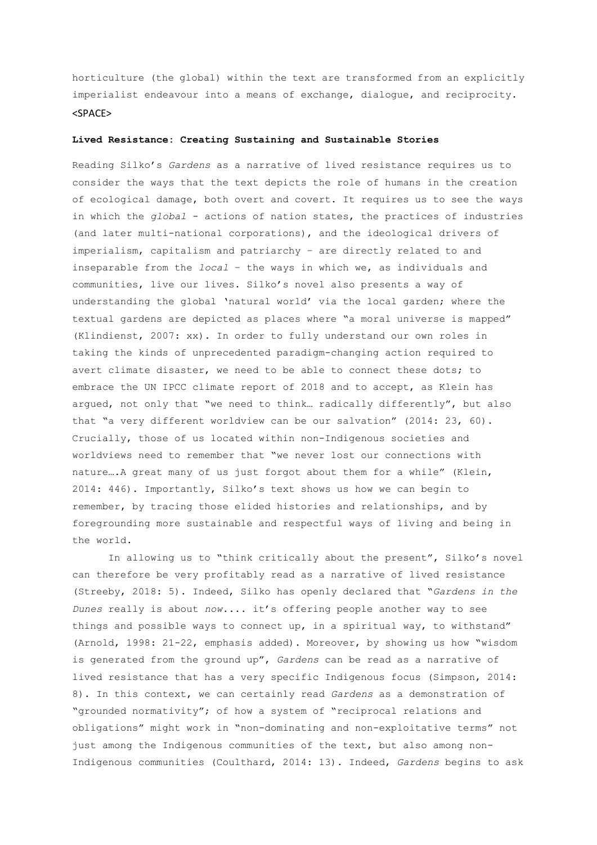horticulture (the global) within the text are transformed from an explicitly imperialist endeavour into a means of exchange, dialogue, and reciprocity. <SPACE>

### **Lived Resistance: Creating Sustaining and Sustainable Stories**

Reading Silko's *Gardens* as a narrative of lived resistance requires us to consider the ways that the text depicts the role of humans in the creation of ecological damage, both overt and covert. It requires us to see the ways in which the *global* - actions of nation states, the practices of industries (and later multi-national corporations), and the ideological drivers of imperialism, capitalism and patriarchy – are directly related to and inseparable from the *local* – the ways in which we, as individuals and communities, live our lives. Silko's novel also presents a way of understanding the global 'natural world' via the local garden; where the textual gardens are depicted as places where "a moral universe is mapped" (Klindienst, 2007: xx). In order to fully understand our own roles in taking the kinds of unprecedented paradigm-changing action required to avert climate disaster, we need to be able to connect these dots; to embrace the UN IPCC climate report of 2018 and to accept, as Klein has argued, not only that "we need to think… radically differently", but also that "a very different worldview can be our salvation" (2014: 23, 60). Crucially, those of us located within non-Indigenous societies and worldviews need to remember that "we never lost our connections with nature….A great many of us just forgot about them for a while" (Klein, 2014: 446). Importantly, Silko's text shows us how we can begin to remember, by tracing those elided histories and relationships, and by foregrounding more sustainable and respectful ways of living and being in the world.

In allowing us to "think critically about the present", Silko's novel can therefore be very profitably read as a narrative of lived resistance (Streeby, 2018: 5). Indeed, Silko has openly declared that "*Gardens in the Dunes* really is about *now*.... it's offering people another way to see things and possible ways to connect up, in a spiritual way, to withstand" (Arnold, 1998: 21-22, emphasis added). Moreover, by showing us how "wisdom is generated from the ground up", *Gardens* can be read as a narrative of lived resistance that has a very specific Indigenous focus (Simpson, 2014: 8). In this context, we can certainly read *Gardens* as a demonstration of "grounded normativity"; of how a system of "reciprocal relations and obligations" might work in "non-dominating and non-exploitative terms" not just among the Indigenous communities of the text, but also among non-Indigenous communities (Coulthard, 2014: 13). Indeed, *Gardens* begins to ask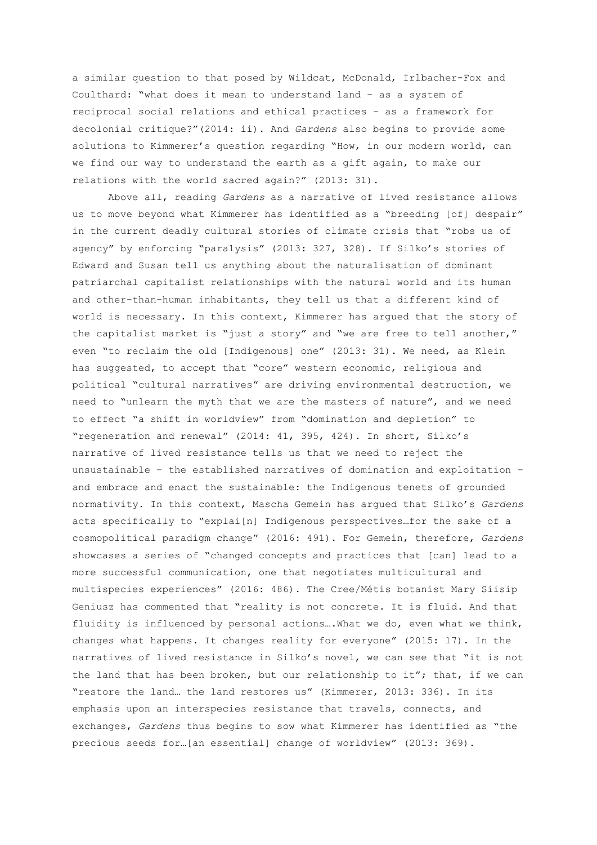a similar question to that posed by Wildcat, McDonald, Irlbacher-Fox and Coulthard: "what does it mean to understand land – as a system of reciprocal social relations and ethical practices – as a framework for decolonial critique?"(2014: ii). And *Gardens* also begins to provide some solutions to Kimmerer's question regarding "How, in our modern world, can we find our way to understand the earth as a gift again, to make our relations with the world sacred again?" (2013: 31).

Above all, reading *Gardens* as a narrative of lived resistance allows us to move beyond what Kimmerer has identified as a "breeding [of] despair" in the current deadly cultural stories of climate crisis that "robs us of agency" by enforcing "paralysis" (2013: 327, 328). If Silko's stories of Edward and Susan tell us anything about the naturalisation of dominant patriarchal capitalist relationships with the natural world and its human and other-than-human inhabitants, they tell us that a different kind of world is necessary. In this context, Kimmerer has argued that the story of the capitalist market is "just a story" and "we are free to tell another," even "to reclaim the old [Indigenous] one" (2013: 31). We need, as Klein has suggested, to accept that "core" western economic, religious and political "cultural narratives" are driving environmental destruction, we need to "unlearn the myth that we are the masters of nature", and we need to effect "a shift in worldview" from "domination and depletion" to "regeneration and renewal" (2014: 41, 395, 424). In short, Silko's narrative of lived resistance tells us that we need to reject the unsustainable – the established narratives of domination and exploitation – and embrace and enact the sustainable: the Indigenous tenets of grounded normativity. In this context, Mascha Gemein has argued that Silko's *Gardens*  acts specifically to "explai[n] Indigenous perspectives…for the sake of a cosmopolitical paradigm change" (2016: 491). For Gemein, therefore, *Gardens*  showcases a series of "changed concepts and practices that [can] lead to a more successful communication, one that negotiates multicultural and multispecies experiences" (2016: 486). The Cree/Métis botanist Mary Siisip Geniusz has commented that "reality is not concrete. It is fluid. And that fluidity is influenced by personal actions….What we do, even what we think, changes what happens. It changes reality for everyone" (2015: 17). In the narratives of lived resistance in Silko's novel, we can see that "it is not the land that has been broken, but our relationship to it"; that, if we can "restore the land… the land restores us" (Kimmerer, 2013: 336). In its emphasis upon an interspecies resistance that travels, connects, and exchanges, *Gardens* thus begins to sow what Kimmerer has identified as "the precious seeds for…[an essential] change of worldview" (2013: 369).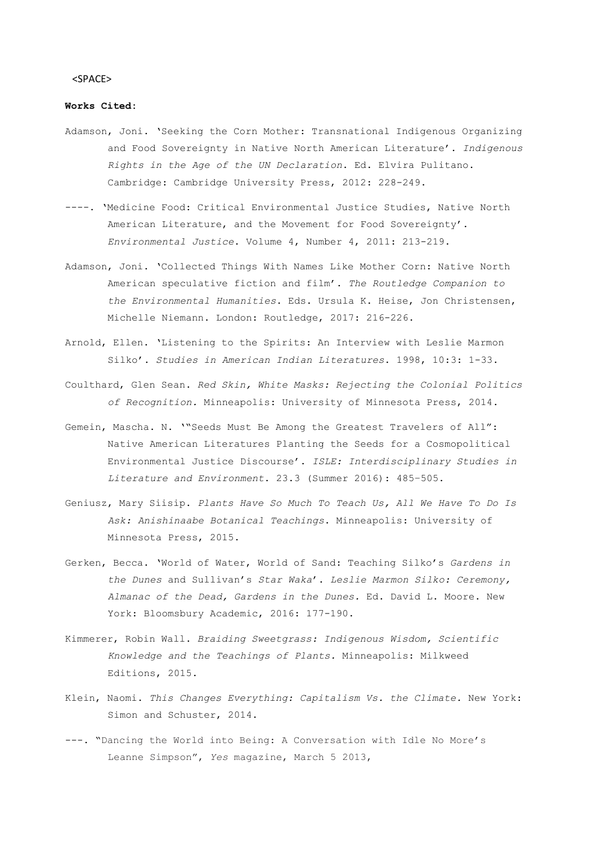### <SPACE>

# **Works Cited:**

- Adamson, Joni. 'Seeking the Corn Mother: Transnational Indigenous Organizing and Food Sovereignty in Native North American Literature'. *Indigenous Rights in the Age of the UN Declaration*. Ed. Elvira Pulitano. Cambridge: Cambridge University Press, 2012: 228-249.
- ----. 'Medicine Food: Critical Environmental Justice Studies, Native North American Literature, and the Movement for Food Sovereignty'. *Environmental Justice*. Volume 4, Number 4, 2011: 213-219.
- Adamson, Joni. 'Collected Things With Names Like Mother Corn: Native North American speculative fiction and film'. *The Routledge Companion to the Environmental Humanities*. Eds. Ursula K. Heise, Jon Christensen, Michelle Niemann. London: Routledge, 2017: 216-226.
- Arnold, Ellen. 'Listening to the Spirits: An Interview with Leslie Marmon Silko'. *Studies in American Indian Literatures*. 1998, 10:3: 1-33.
- Coulthard, Glen Sean. *Red Skin, White Masks: Rejecting the Colonial Politics of Recognition.* Minneapolis: University of Minnesota Press, 2014.
- Gemein, Mascha. N. '"Seeds Must Be Among the Greatest Travelers of All": Native American Literatures Planting the Seeds for a Cosmopolitical Environmental Justice Discourse'. *ISLE: Interdisciplinary Studies in Literature and Environment*. 23.3 (Summer 2016): 485–505.
- Geniusz, Mary Siisip. *Plants Have So Much To Teach Us, All We Have To Do Is Ask: Anishinaabe Botanical Teachings*. Minneapolis: University of Minnesota Press, 2015.
- Gerken, Becca. 'World of Water, World of Sand: Teaching Silko's *Gardens in the Dunes* and Sullivan's *Star Waka*'. *Leslie Marmon Silko: Ceremony, Almanac of the Dead, Gardens in the Dunes.* Ed. David L. Moore. New York: Bloomsbury Academic, 2016: 177-190.
- Kimmerer, Robin Wall. *Braiding Sweetgrass: Indigenous Wisdom, Scientific Knowledge and the Teachings of Plants.* Minneapolis: Milkweed Editions, 2015.
- Klein, Naomi. *This Changes Everything: Capitalism Vs. the Climate.* New York: Simon and Schuster, 2014.
- ---. "Dancing the World into Being: A Conversation with Idle No More's Leanne Simpson", *Yes* magazine, March 5 2013,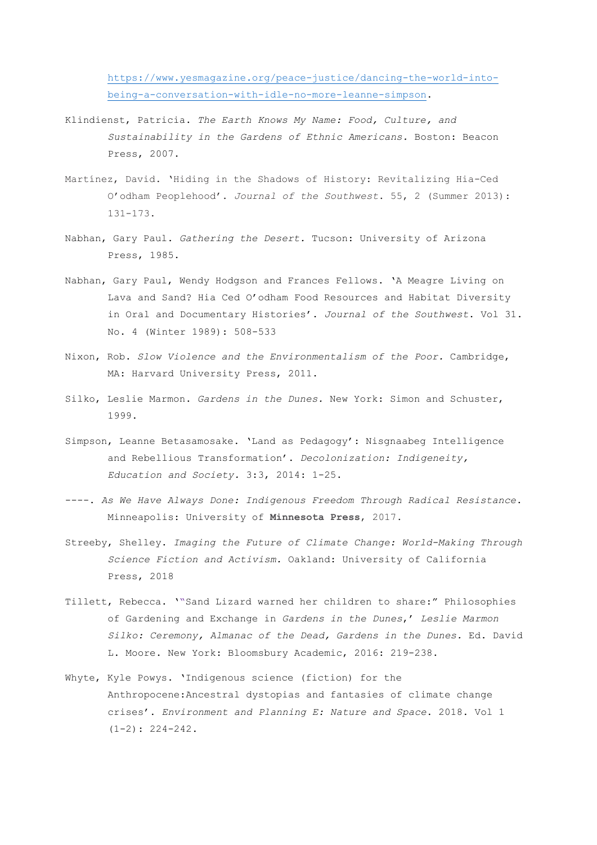[https://www.yesmagazine.org/peace-justice/dancing-the-world-into](https://www.yesmagazine.org/peace-justice/dancing-the-world-into-being-a-conversation-with-idle-no-more-leanne-simpson)[being-a-conversation-with-idle-no-more-leanne-simpson.](https://www.yesmagazine.org/peace-justice/dancing-the-world-into-being-a-conversation-with-idle-no-more-leanne-simpson)

- Klindienst, Patricia. *The Earth Knows My Name: Food, Culture, and Sustainability in the Gardens of Ethnic Americans.* Boston: Beacon Press, 2007.
- Martínez, David. 'Hiding in the Shadows of History: Revitalizing Hia-Ced O'odham Peoplehood'. *Journal of the Southwest*. 55, 2 (Summer 2013): 131-173.
- Nabhan, Gary Paul. *Gathering the Desert.* Tucson: University of Arizona Press, 1985.
- Nabhan, Gary Paul, Wendy Hodgson and Frances Fellows. 'A Meagre Living on Lava and Sand? Hia Ced O'odham Food Resources and Habitat Diversity in Oral and Documentary Histories'. *Journal of the Southwest*. Vol 31. No. 4 (Winter 1989): 508-533
- Nixon, Rob. *Slow Violence and the Environmentalism of the Poor.* Cambridge, MA: Harvard University Press, 2011.
- Silko, Leslie Marmon. *Gardens in the Dunes.* New York: Simon and Schuster, 1999.
- Simpson, Leanne Betasamosake. 'Land as Pedagogy': Nisgnaabeg Intelligence and Rebellious Transformation'. *Decolonization: Indigeneity, Education and Society.* 3:3, 2014: 1-25.
- ----. *As We Have Always Done: Indigenous Freedom Through Radical Resistance*. Minneapolis: University of **Minnesota Press**, 2017.
- Streeby, Shelley. *Imaging the Future of Climate Change: World-Making Through Science Fiction and Activism.* Oakland: University of California Press, 2018
- Tillett, Rebecca. '"Sand Lizard warned her children to share:" Philosophies of Gardening and Exchange in *Gardens in the Dunes*,' *Leslie Marmon Silko: Ceremony, Almanac of the Dead, Gardens in the Dunes.* Ed. David L. Moore. New York: Bloomsbury Academic, 2016: 219-238.
- Whyte, Kyle Powys. 'Indigenous science (fiction) for the Anthropocene:Ancestral dystopias and fantasies of climate change crises'. *Environment and Planning E: Nature and Space*. 2018. Vol 1  $(1-2): 224-242.$